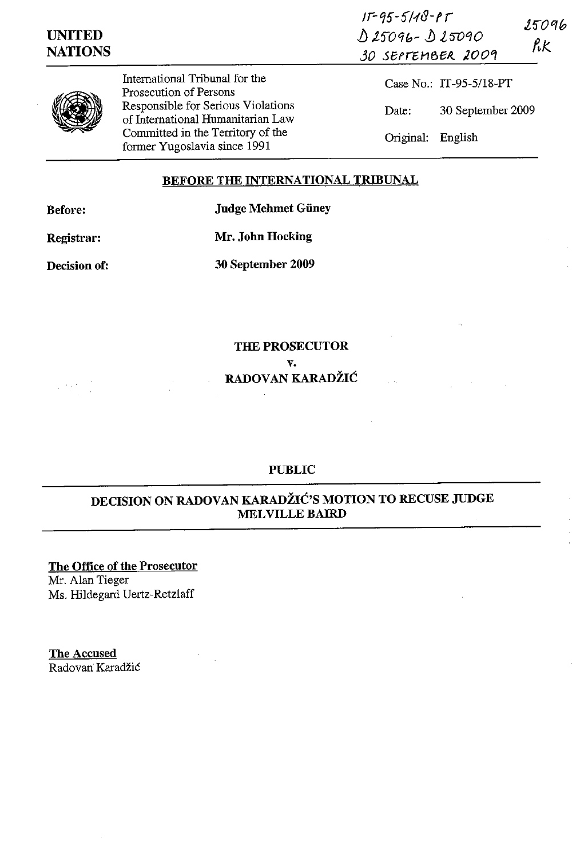| UNITED<br><b>NATIONS</b> |                                                                                                                                              | $11 - 95 - 5118 - 95$<br>$025096 - 025090$<br>30 SEPTEMBER 2009 | 25096<br>RK       |
|--------------------------|----------------------------------------------------------------------------------------------------------------------------------------------|-----------------------------------------------------------------|-------------------|
|                          | International Tribunal for the<br>Prosecution of Persons                                                                                     | Case No.: IT-95-5/18-PT                                         |                   |
|                          | Responsible for Serious Violations<br>of International Humanitarian Law<br>Committed in the Territory of the<br>former Yugoslavia since 1991 | Date:                                                           | 30 September 2009 |
|                          |                                                                                                                                              | Original: English                                               |                   |

## **BEFORE THE INTERNATIONAL TRIBUNAL**

**Before: Judge Mehmet Giiney** 

**Registrar: Mr. John Hocking** 

**Decision of: 30 September 2009** 

**THE PROSECUTOR v. RADOVAN KARADŽIĆ** 

**PUBLIC** 

# **DECISION ON RADOVAN KARADŽIĆ'S MOTION TO RECUSE JUDGE MELVILLE BAIRD**

**The Office of the Prosecutor**  Mr. Alan Tieger Ms. Hildegard Uertz-Retzlaff

The Accused Radovan Karadžić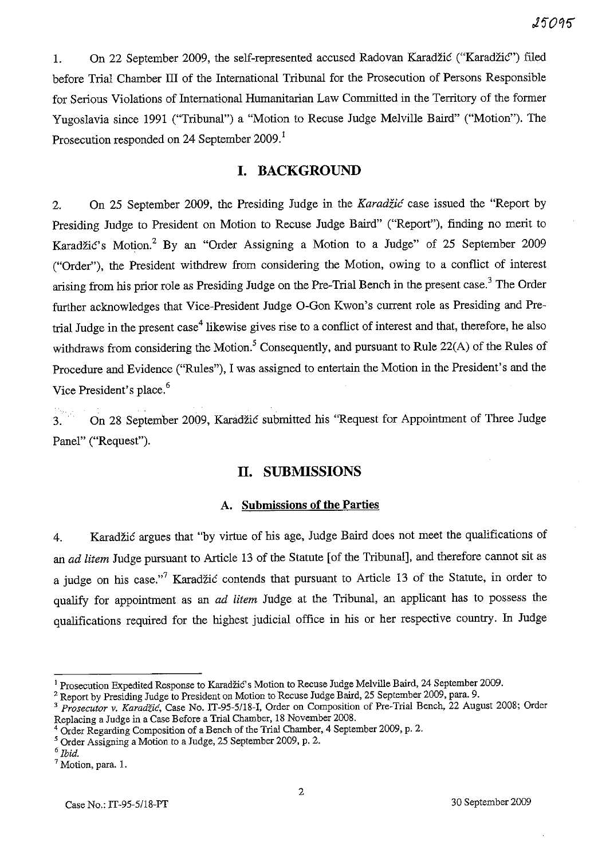1. On 22 September 2009, the self-represented accused Radovan Karadzic ("Karadzic") filed before Trial Chamber III of the International Tribunal for the Prosecution of Persons Responsible for Serious Violations of International Humanitarian Law Committed in the Territory of the former Yugoslavia since 1991 ("Tribunal") a "Motion to Recuse Judge Melville Baird" ("Motion"). The Prosecution responded on 24 September 2009.<sup>1</sup>

## **I. BACKGROUND**

2. On 25 September 2009, the Presiding Judge in the *Karadzic* case issued the "Report by Presiding Judge to President on Motion to Recuse Judge Baird" ("Report"), finding no merit to Karadžić's Motion.<sup>2</sup> By an "Order Assigning a Motion to a Judge" of 25 September 2009 ("Order"), the President withdrew from considering the Motion, owing to a conflict of interest arising from his prior role as Presiding Judge on the Pre-Trial Bench in the present case.<sup>3</sup> The Order further acknowledges that Vice-President Judge O-Gon Kwon's current role as Presiding and Pretrial Judge in the present case<sup>4</sup> likewise gives rise to a conflict of interest and that, therefore, he also withdraws from considering the Motion.<sup>5</sup> Consequently, and pursuant to Rule 22(A) of the Rules of Procedure and Evidence ("Rules"), I was assigned to entertain the Motion in the President's and the Vice President's place.<sup>6</sup>

3. On 28 September 2009, Karadzic submitted his "Request for Appointment of Three Judge Panel" ("Request").

## **11. SUBMISSIONS**

#### A. **Submissions of the Parties**

4. Karadzic argues that "by virtue of his age, Judge Baird does not meet the qualifications of an *ad litem* Judge pursuant to Article 13 of the Statute [of the Tribunal], and therefore cannot sit as a judge on his case."<sup>7</sup> Karadžić contends that pursuant to Article 13 of the Statute, in order to qualify for appointment as an *ad litem* Judge at the Tribunal, an applicant has to possess the qualifications required for the highest judicial office in his or her respective country. In Judge

<sup>&</sup>lt;sup>1</sup> Prosecution Expedited Response to Karadžić's Motion to Recuse Judge Melville Baird, 24 September 2009.

<sup>&</sup>lt;sup>2</sup> Report by Presiding Judge to President on Motion to Recuse Judge Baird, 25 September 2009, para. 9.

<sup>&</sup>lt;sup>3</sup> Prosecutor v. *Karadžić*, Case No. IT-95-5/18-I, Order on Composition of Pre-Trial Bench, 22 August 2008; Order Replacing a Judge in a Case Before a Trial Chamber, 18 November 2008.

<sup>4</sup> Order Regarding Composition of a Bench of the Trial Chamber, 4 September 2009, p. 2.

<sup>5</sup> Order Assigning a Motion to a Judge, 25 September 2009, p. 2.

*<sup>6</sup> Ibid.* 

<sup>7</sup> Motion, para. I.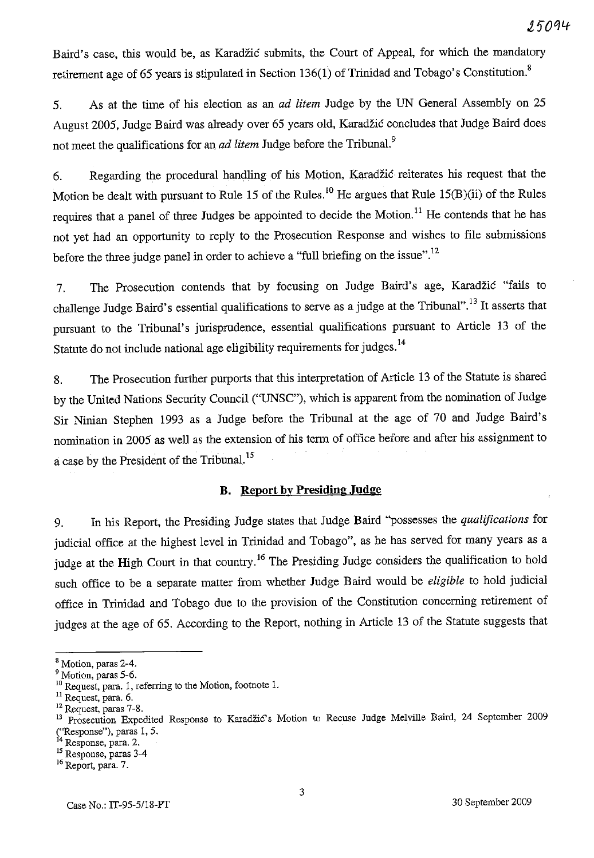Baird's case, this would be, as Karadžić submits, the Court of Appeal, for which the mandatory retirement age of 65 years is stipulated in Section 136(1) of Trinidad and Tobago's Constitution.<sup>8</sup>

5. As at the time of his election as an *ad litem* Judge by the UN General Assembly on 25 August 2005, Judge Baird was already over 65 years old, Karadzic concludes that Judge Baird does not meet the qualifications for an *ad litem* Judge before the Tribunal. 9

6. Regarding the procedural handling of his Motion, Karadzic· reiterates his request that the Motion be dealt with pursuant to Rule 15 of the Rules.<sup>10</sup> He argues that Rule 15(B)(ii) of the Rules requires that a panel of three Judges be appointed to decide the Motion.<sup>11</sup> He contends that he has not yet had an opportunity to reply to the Prosecution Response and wishes to file submissions before the three judge panel in order to achieve a "full briefing on the issue".<sup>12</sup>

7. The Prosecution contends that by focusing on Judge Baird's age, Karadzic "fails to challenge Judge Baird's essential qualifications to serve as a judge at the Tribunal".13 It asserts that pursuant to the Tribunal's jurisprudence, essential qualifications pursuant to Article 13 of the Statute do not include national age eligibility requirements for judges.<sup>14</sup>

8. The Prosecution further purports that this interpretation of Article 13 of the Statute is shared by the United Nations Security Council ("UNSC"), which is apparent from the nomination of Judge Sir Ninian Stephen 1993 as a Judge before the Tribunal at the age of 70 and Judge Baird's nomination in 2005 as well as the extension of his term of office before and after his assignment to a case by the President of the Tribunal. 15

### **B. Report by Presiding Judge**

9. In his Report, the Presiding Judge states that Judge Baird ''possesses the *qualifications* for judicial office at the highest level in Trinidad and Tobago", as he has served for many years as a judge at the High Court in that country.<sup>16</sup> The Presiding Judge considers the qualification to hold such office to be a separate matter from whether Judge Baird would be *eligible* to hold judicial office in Trinidad and Tobago due to the provision of the Constitution concerning retirement of judges at the age of 65. According to the Report, nothing in Article 13 of the Statute suggests that

<sup>8</sup> Motion, paras 2-4.

<sup>&</sup>lt;sup>9</sup> Motion, paras 5-6.

<sup>&</sup>lt;sup>10</sup> Request, para. 1, referring to the Motion, footnote 1.

<sup>&</sup>lt;sup>11</sup> Request, para. 6.

<sup>12</sup> Request, paras 7-8.

<sup>&</sup>lt;sup>13</sup> Prosecution Expedited Response to Karadžić's Motion to Recuse Judge Melville Baird, 24 September 2009 ("Response"), paras 1, 5.

 $14$  Response, para. 2.

<sup>15</sup> Response, paras 3-4

<sup>16</sup> Report, para. 7.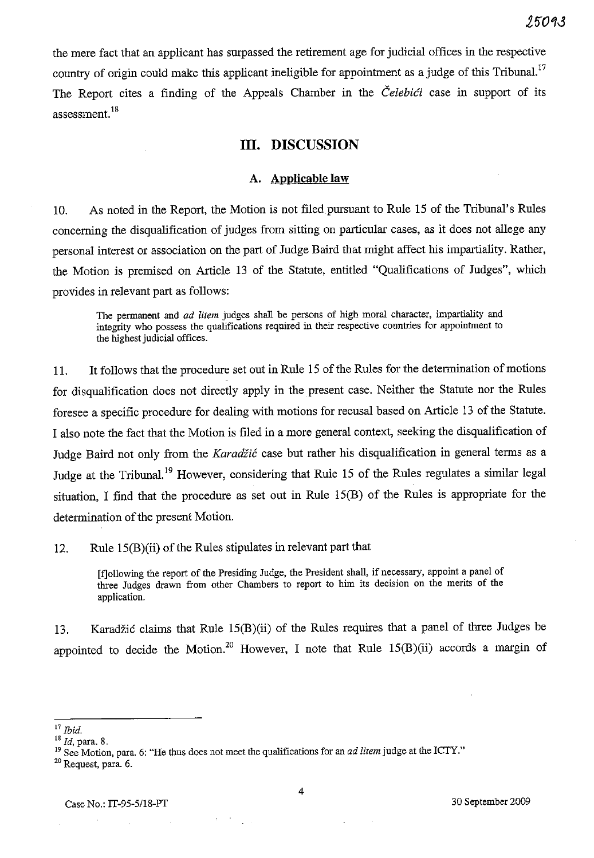the mere fact that an applicant has surpassed the retirement age for judicial offices in the respective country of origin could make this applicant ineligible for appointment as a judge of this Tribunal.<sup>17</sup> The Report cites a finding of the Appeals Chamber in the *Celebici* case in support of its assessment.<sup>18</sup>

## **Ill. DISCUSSION**

#### A. **Applicable law**

10. As noted in the Report, the Motion is not filed pursuant to Rule IS of the Tribunal's Rules concerning the disqualification of judges from sitting on particular cases, as it does not allege any personal interest or association on the part of Judge Baird that might affect his impartiality. Rather, the Motion is premised on Article 13 of the Statute, entitled "Qualifications of Judges", which provides in relevant part as follows:

The permanent and *ad litem* judges shall be persons of high moral character, impartiality and integrity who possess the qualifications required in their respective countties for appointment to the highest judicial offices.

11. It follows that the procedure set out in Rule IS of the Rules for the determination of motions for disqualification does not directly apply in the present case. Neither the Statute nor the Rules foresee a specific procedure for dealing with motions for recusal based on Article 13 of the Statute. I also note the fact that the Motion is filed in a more general context, seeking the disqualification of Judge Baird not only from the *Karadžić* case but rather his disqualification in general terms as a Judge at the Tribunal.<sup>19</sup> However, considering that Rule 15 of the Rules regulates a similar legal situation, I find that the procedure as set out in Rule 15(B) of the Rules is appropriate for the determination of the present Motion.

12. Rule 15(B)(ii) of the Rules stipulates in relevant part that

[f]ollowing the report of the Presiding Judge, the President shall, if necessary, appoint a panel of three Judges drawn from other Chambers to report to him its decision on the merits of the application.

13. Karadžić claims that Rule 15(B)(ii) of the Rules requires that a panel of three Judges be appointed to decide the Motion.<sup>20</sup> However, I note that Rule  $15(B)(ii)$  accords a margin of

 $\chi$  .

<sup>17</sup>*Ibid.* 

<sup>&</sup>lt;sup>18</sup> *Id*, para. 8.

<sup>19</sup> See Motion, para. 6: "He thus does not meet the qualifications for an *ad litem* judge at the ICTY."

<sup>20</sup> Request, para. 6.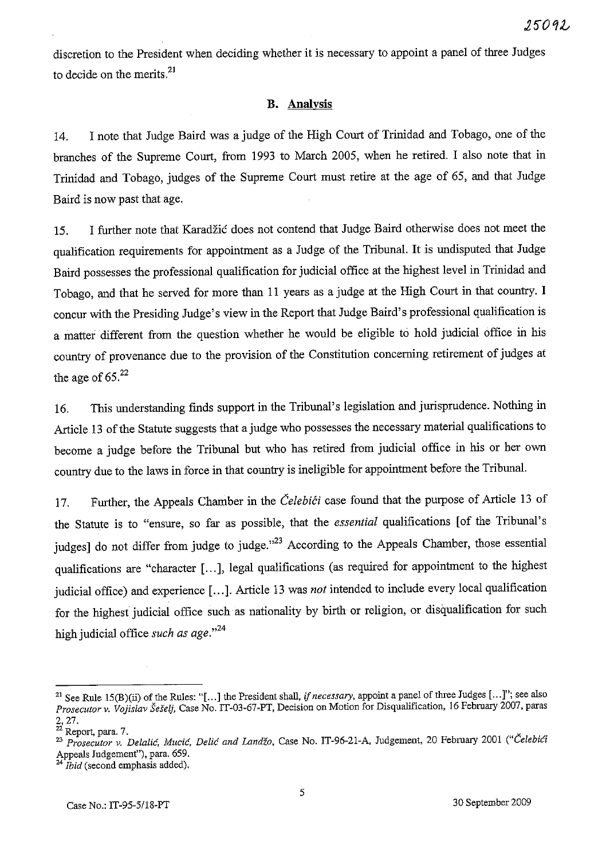discretion to the President when deciding whether it is necessary to appoint a panel of three Judges to decide on the merits. $21$ 

## **B. Analysis**

14. I note that Judge Baird was a judge of the High Court of Trinidad and Tobago, one of the branches of the Supreme Court, from 1993 to March 2005, when he retired. I also note that in Trinidad and Tobago, judges of the Supreme Court must retire at the age of 65, and that Judge Baird is now past that age.

IS. I further note that Karadzic does not contend that Judge Baird otherwise does not meet the qualification requirements for appointment as a Judge of the Tribunal. It is undisputed that Judge Baird possesses the professional qualification for judicial office at the highest level in Trinidad and Tobago, and that he served for more than II years as a judge at the High Court in that country. I concur with the Presiding Judge's view in the Report that Judge Baird's professional qualification is a matter different from the question whether he would be eligible to hold judicial office in his country of provenance due to the provision of the Constitution concerning retirement of judges at the age of  $65.^{22}$ 

16. This understanding fmds support in the Tribunal's legislation and jurisprudence. Nothing in Article 13 of the Statute suggests that a judge who possesses the necessary material qualifications to become a judge before the Tribunal but who has retired from judicial office in his or her own country due to the laws in force in that country is ineligible for appointment before the Tribunal.

17. Further, the Appeals Chamber in the *Čelebići* case found that the purpose of Article 13 of the Statute is to "ensure, so far as possible, that the *essential* qualifications [of the Tribunal's judges] do not differ from judge to judge."<sup>23</sup> According to the Appeals Chamber, those essential qualifications are "character [...], legal qualifications (as required for appointment to the highest judicial office) and experience [ ... ]. Article 13 was *not* intended to include every local qualification for the highest judicial office such as nationality by birth or religion, or disqualification for such high judicial office *such as age.*<sup>24</sup>

<sup>&</sup>lt;sup>21</sup> See Rule 15(B)(ii) of the Rules: "[...] the President shall, *if necessary*, appoint a panel of three Judges [...]"; see also *Prosecutor v. Vojislav Sefelj,* Case No. IT-03-67-PT, Decision on Motion for Disqualification, 16 Fehruary 2007, paras 2,27.

 $22$  Report, para. 7.

<sup>23</sup>*Prosecutor v. Delalie, Mucic, Delie and Landzo,* Case No. IT-96-21-A, Judgement, 20 February 2001 *("Gelebiei*  Appeals Judgement''), para. 659.<br>
<sup>24</sup> Ibid (contract)

*Ibid* (second emphasis added).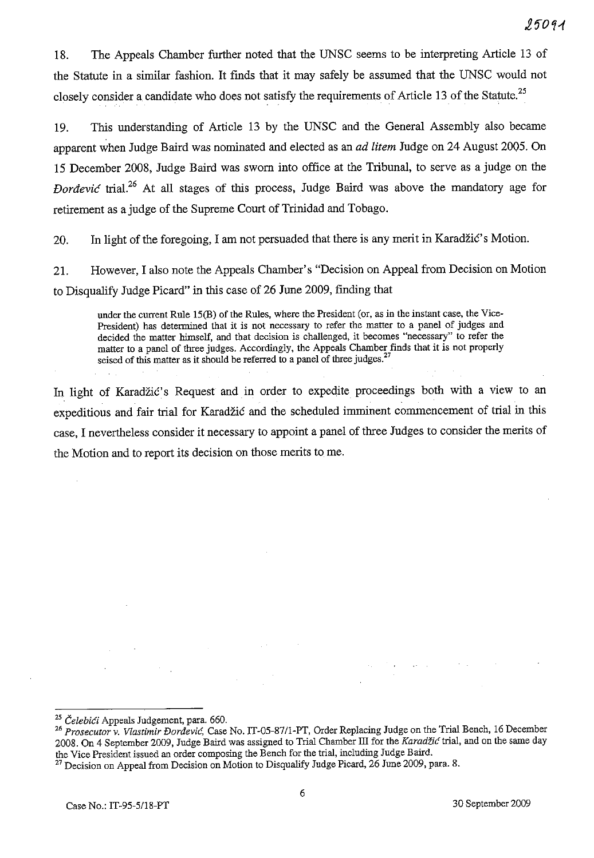18. The Appeals Chamber further noted that the UNSC seems to be interpreting Article 13 of the Statute in a similar fashion. It finds that it may safely be assumed that the UNSC would not closely consider a candidate who does not satisfy the requirements of Article 13 of the Statute.<sup>25</sup>

19. This understanding of Article 13 by the UNSC and the General Assembly also became apparent when Judge Baird was nominated and elected as an *ad litem* Judge on 24 August 2005. On 15 December 2008, Judge Baird was sworn into office at the Tribunal, to serve as a judge on the *Dordevic* trial.<sup>26</sup> At all stages of this process, Judge Baird was above the mandatory age for retirement as a judge of the Supreme Court of Trinidad and Tobago.

20. In light of the foregoing, I am not persuaded that there is any merit in Karadzic's Motion.

21. However, I also note the Appeals Chamber's "Decision on Appeal from Decision on Motion to Disqualify Judge Picard" in this case of 26 June 2009, finding that

under the current Rule IS(B) of the Rules, where the President (or, as in the instant case, the Vice-President) has determined that it is not necessary to refer the matter to a panel of judges and decided the matter himself, and that decision is challenged, it becomes "necessary" to refer the matter to a panel of three judges. Accordingly, the Appeals Charuber finds that it is not properly seised of this matter as it should be referred to a panel of three judges. $27$ 

In light of Karadzic's Request and in order to expedite proceedings both with a view to an expeditious and fair trial for Karadzic and the scheduled imminent commencement of trial in this case, I nevertheless consider it necessary to appoint a panel of three Judges to consider the merits of the Motion and to report its decision on those merits to me.

<sup>25</sup>*Celebici* Appeals Judgement, para. 660.

*<sup>26</sup> Prosecutor v. Vlastimir Dordevie,* Case No. IT-OS-87/l-PT, Order Replacing Judge on the Trial Bench, 16 December 2008. On 4 September 2009, Judge Baird was assigned to Trial Chamber III for the *Karadžić* trial, and on the same day the Vice President issued an order composing the Bench for the trial, including Judge Baird.

<sup>&</sup>lt;sup>27</sup> Decision on Appeal from Decision on Motion to Disqualify Judge Picard, 26 June 2009, para. 8.